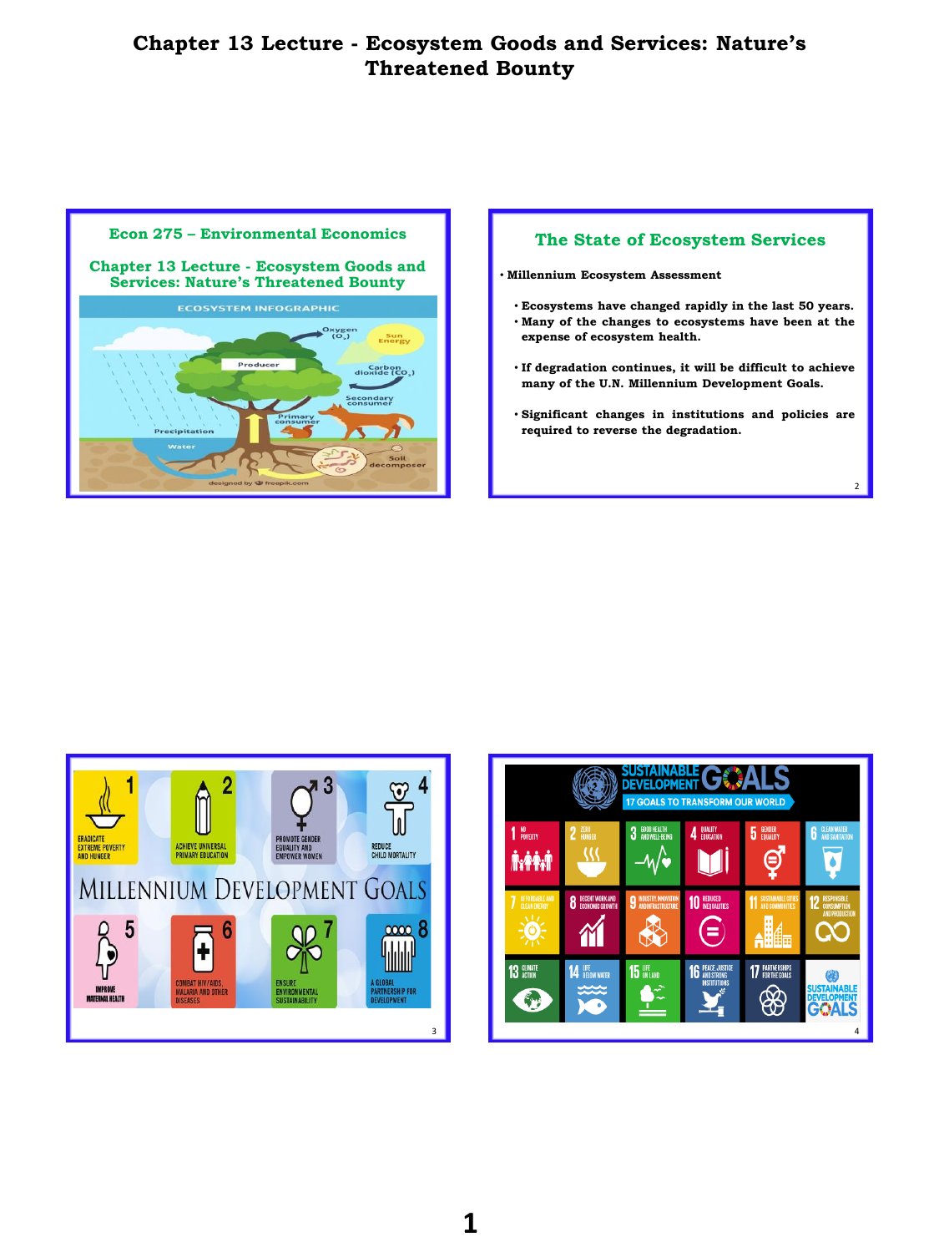



 $\overline{2}$ 



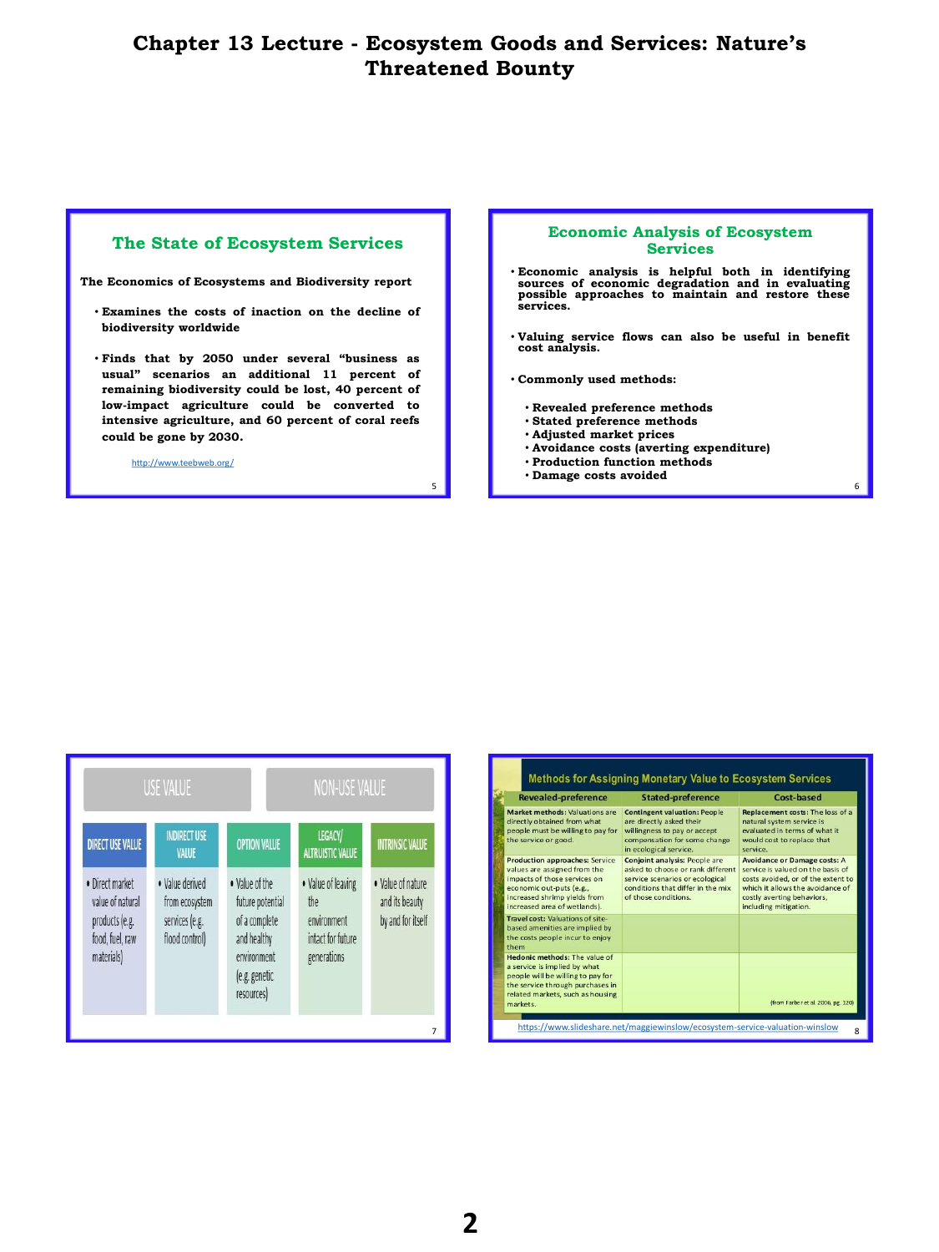5

### **The State of Ecosystem Services**

**The Economics of Ecosystems and Biodiversity report**

- **Examines the costs of inaction on the decline of biodiversity worldwide**
- **Finds that by 2050 under several "business as usual" scenarios an additional 11 percent of remaining biodiversity could be lost, 40 percent of low-impact agriculture could be converted to intensive agriculture, and 60 percent of coral reefs could be gone by 2030.**

<http://www.teebweb.org/>

#### **Economic Analysis of Ecosystem Services**

- **Economic analysis is helpful both in identifying sources of economic degradation and in evaluating possible approaches to maintain and restore these services.**
- **Valuing service flows can also be useful in benefit cost analysis.**

6

- **Commonly used methods:**
	- **Revealed preference methods**
	- **Stated preference methods**
	- **Adjusted market prices**
	- **Avoidance costs (averting expenditure)**
	- **Production function methods** • **Damage costs avoided**

NON-USE VALUE **USE VALUE INDIRECT USE** LEGACY/ **OPTION VALUE DIRECT USE VALUE VTRINSIC VALUE ALTRUISTIC VALUE** VALUE • Value of leaving · Direct market • Value derived . Value of the . Value of nature value of natural future potential from ecosystem the and its beauty services (e.g. products (e.g. of a complete environment by and for itself food, fuel, raw flood control) and healthy intact for future materials) environment generations (e.g. genetic resources)

| <b>Revealed-preference</b>                                                                                                                                                                        | <b>Stated-preference</b>                                                                                                                                                  | Cost-based                                                                                                                                                                                                |
|---------------------------------------------------------------------------------------------------------------------------------------------------------------------------------------------------|---------------------------------------------------------------------------------------------------------------------------------------------------------------------------|-----------------------------------------------------------------------------------------------------------------------------------------------------------------------------------------------------------|
| Market methods: Valuations are<br>directly obtained from what<br>people must be willing to pay for<br>the service or good.                                                                        | <b>Contingent valuation: People</b><br>are directly asked their<br>willingness to pay or accept<br>compensation for some change<br>in ecological service.                 | Replacement costs: The loss of a<br>natural system service is<br>evaluated in terms of what it<br>would cost to replace that<br>service.                                                                  |
| <b>Production approaches: Service</b><br>values are assigned from the<br>impacts of those services on<br>economic out-puts (e.g.,<br>increased shrimp yields from<br>increased area of wetlands). | <b>Conjoint analysis: People are</b><br>asked to choose or rank different<br>service scenarios or ecological<br>conditions that differ in the mix<br>of those conditions. | <b>Avoidance or Damage costs: A</b><br>service is valued on the basis of<br>costs avoided, or of the extent to<br>which it allows the avoidance of<br>costly averting behaviors,<br>including mitigation. |
| Travel cost: Valuations of site-<br>based amenities are implied by<br>the costs people incur to enjoy<br>them                                                                                     |                                                                                                                                                                           |                                                                                                                                                                                                           |
| Hedonic methods: The value of<br>a service is implied by what<br>people will be willing to pay for<br>the service through purchases in<br>related markets, such as housing<br>markets.            |                                                                                                                                                                           | (from Farber et al. 2006, pg. 120)                                                                                                                                                                        |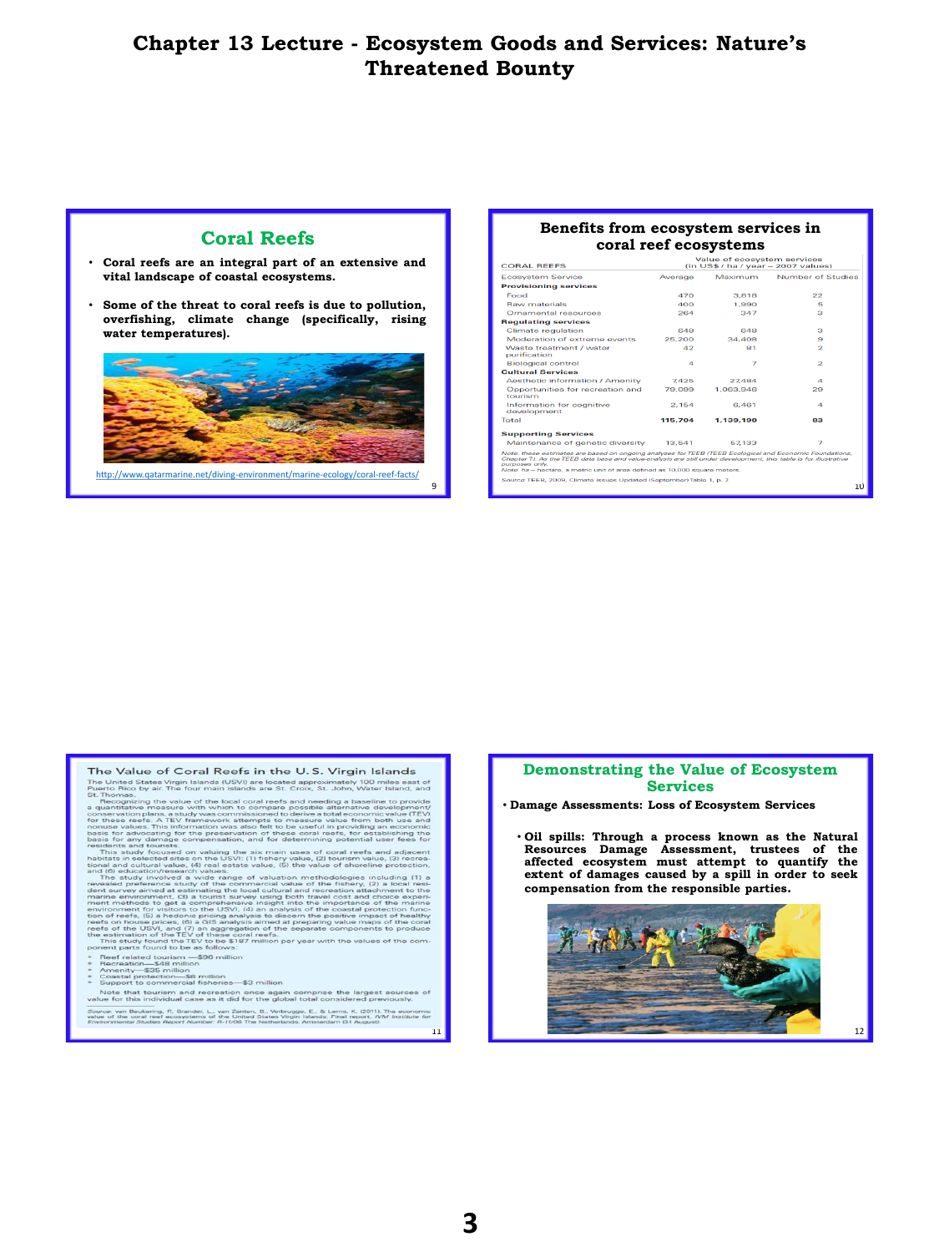9

## **Coral Reefs**

- **Coral reefs are an integral part of an extensive and vital landscape of coastal ecosystems.**
- **Some of the threat to coral reefs is due to pollution, overfishing, climate change (specifically, rising water temperatures).**



<http://www.qatarmarine.net/diving-environment/marine-ecology/coral-reef-facts/>

#### **Benefits from ecosystem services in coral reef ecosystems**

|                | Maximum   | Number of Studies                                                                                                                                                                                                                                                                                                                                                                |
|----------------|-----------|----------------------------------------------------------------------------------------------------------------------------------------------------------------------------------------------------------------------------------------------------------------------------------------------------------------------------------------------------------------------------------|
|                |           |                                                                                                                                                                                                                                                                                                                                                                                  |
| 470            | 3.818     | 22                                                                                                                                                                                                                                                                                                                                                                               |
| 400            | 1.990     | Б                                                                                                                                                                                                                                                                                                                                                                                |
| 264            | 347       | а                                                                                                                                                                                                                                                                                                                                                                                |
|                |           |                                                                                                                                                                                                                                                                                                                                                                                  |
| 648            | 648       | з                                                                                                                                                                                                                                                                                                                                                                                |
| 25.200         | 34.408    | 9                                                                                                                                                                                                                                                                                                                                                                                |
| 42             | 81        | 2                                                                                                                                                                                                                                                                                                                                                                                |
| $\overline{a}$ | 7         | $\overline{a}$                                                                                                                                                                                                                                                                                                                                                                   |
|                |           |                                                                                                                                                                                                                                                                                                                                                                                  |
| 7.425          | 27.484    | $\boldsymbol{A}$                                                                                                                                                                                                                                                                                                                                                                 |
| 79.099         | 1.063.946 | 29                                                                                                                                                                                                                                                                                                                                                                               |
| 2.154          | 6.461     | $\boldsymbol{A}$                                                                                                                                                                                                                                                                                                                                                                 |
| 115.704        | 1.139.190 | 83                                                                                                                                                                                                                                                                                                                                                                               |
|                |           |                                                                                                                                                                                                                                                                                                                                                                                  |
| 13.541         | 57.133    | $\overline{z}$                                                                                                                                                                                                                                                                                                                                                                   |
|                |           |                                                                                                                                                                                                                                                                                                                                                                                  |
|                |           |                                                                                                                                                                                                                                                                                                                                                                                  |
|                |           | 10                                                                                                                                                                                                                                                                                                                                                                               |
|                | Average   | Note: these estimates are based on ongoing analyses for TEEB (TEEB Ecological and Economic Foundations,<br>Chapter 7). As the TEEB data base and value-analysis are still under development, this table is for illustrative<br>Note: ha-hectare, a metric unit of area defined as 10,000 square meters.<br>Source: TEEB, 2009. Climate Issues Updated (September) Table 1, p. 7. |

The Value of Coral Reefs in the U.S. Virgin Islands

The Value of Coral Reefs in the U.S. Virgin Islands<br>The United States Virgin Islands The United States Virgin Islands (USV) are located approximately 100 miles ears of St. St. John, Water Island, and<br>Buch Pacific State Th

- 
- 

Reef related tourism —\$96 million<br>Recreation—\$48 million<br>Amenity—\$35 million<br>Coastal protection—\$6 million<br>Support to commercial fisheries—\$3 million<br>Support to commercial fisheries—\$3 million  $\overline{N}$ 

.<br>te that tourism and recreation once again comprise the largest se<br>for this individual case as it did for the global total considered previo

irce: van Beukering, P., Brander, L., van Zanten, B., Verbrugge, E., & Lems, K. (2011). The economic<br>ie of the coral reef ecosystems of the United States Virgin Islands: Final report. I/VM Institute for<br>ironmental Studies

### **Demonstrating the Value of Ecosystem Services**

• **Damage Assessments: Loss of Ecosystem Services**

Oil spills: Through a process known as the Natural<br>Resources Damage Assessment, trustees of the<br>affected ecosystem must attempt to quantify the **extent of damages caused by a spill in order to seek compensation from the responsible parties.**

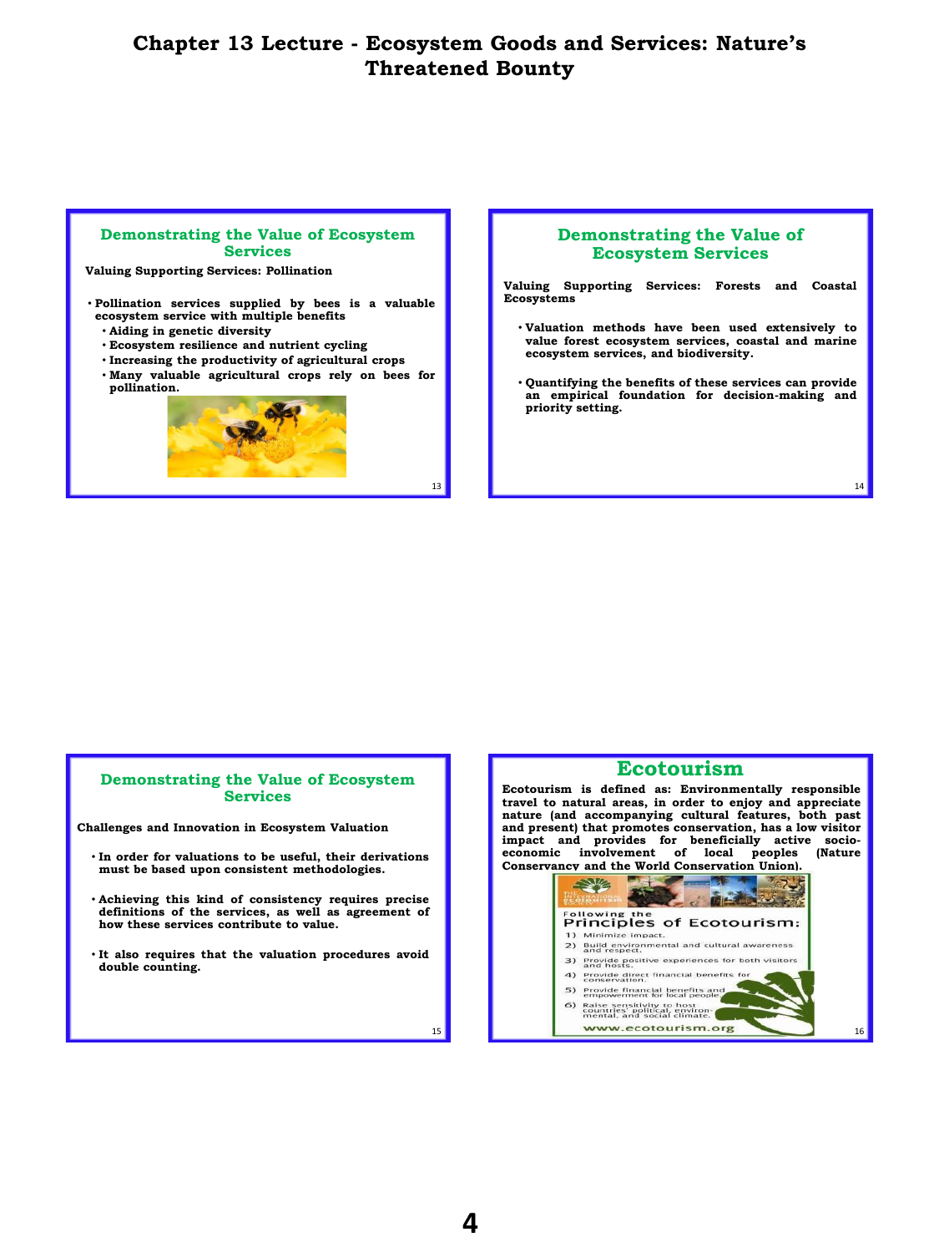13

#### **Demonstrating the Value of Ecosystem Services**

**Valuing Supporting Services: Pollination**

- **Pollination services supplied by bees is a valuable ecosystem service with multiple benefits**
	- **Aiding in genetic diversity**
	- **Ecosystem resilience and nutrient cycling**
	- **Increasing the productivity of agricultural crops**
	- **Many valuable agricultural crops rely on bees for pollination.**



### **Demonstrating the Value of Ecosystem Services**

**Valuing Supporting Services: Forests and Coastal Ecosystems**

- **Valuation methods have been used extensively to value forest ecosystem services, coastal and marine ecosystem services, and biodiversity.**
- **Quantifying the benefits of these services can provide an empirical foundation for decision-making and priority setting.**

14

### **Demonstrating the Value of Ecosystem Services**

**Challenges and Innovation in Ecosystem Valuation**

- **In order for valuations to be useful, their derivations must be based upon consistent methodologies.**
- **Achieving this kind of consistency requires precise definitions of the services, as well as agreement of how these services contribute to value.**
- **It also requires that the valuation procedures avoid double counting.**



15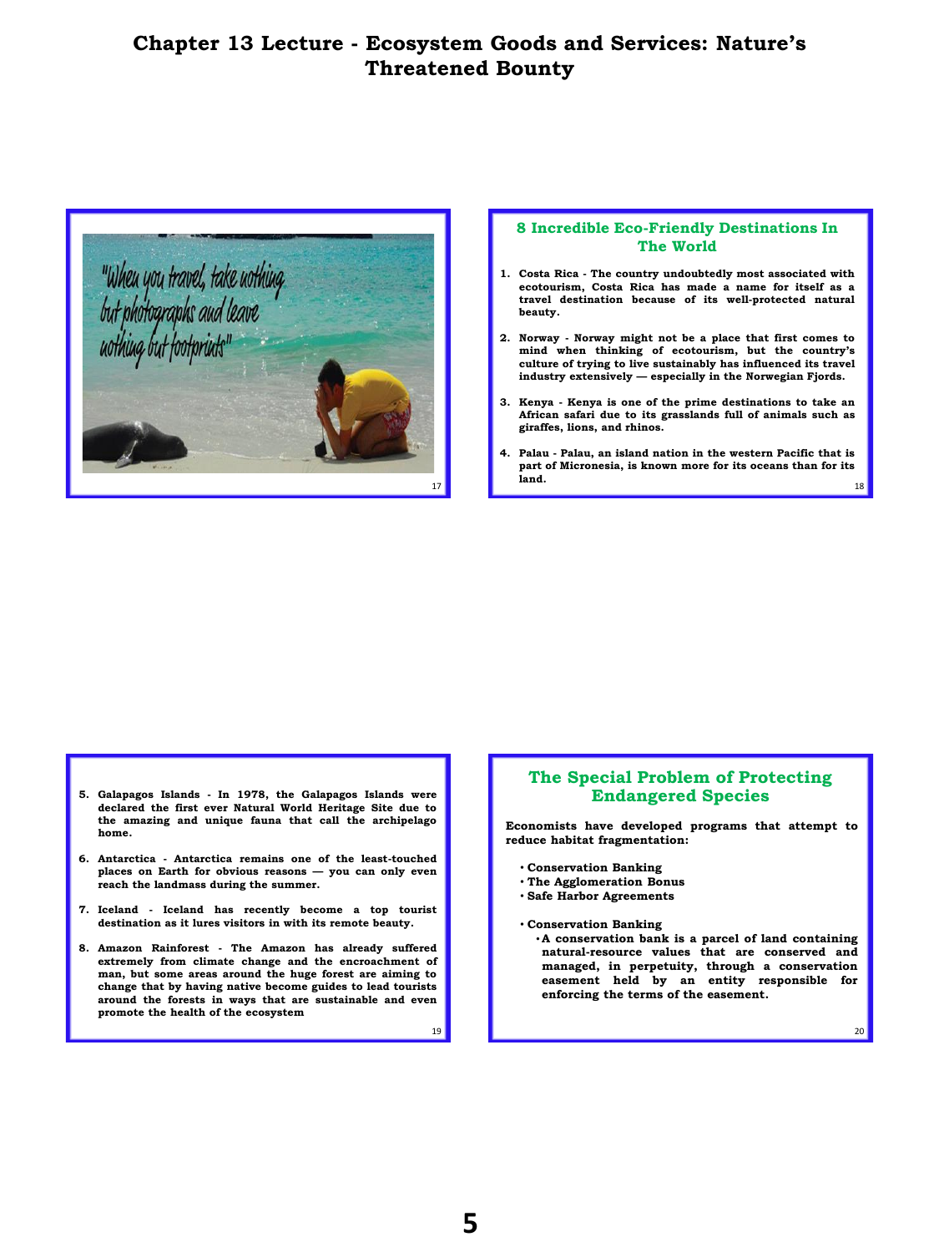

### **8 Incredible Eco-Friendly Destinations In The World**

- **1. Costa Rica - The country undoubtedly most associated with ecotourism, Costa Rica has made a name for itself as a travel destination because of its well-protected natural beauty.**
- **2. Norway - Norway might not be a place that first comes to mind when thinking of ecotourism, but the country's culture of trying to live sustainably has influenced its travel industry extensively — especially in the Norwegian Fjords.**
- **3. Kenya - Kenya is one of the prime destinations to take an African safari due to its grasslands full of animals such as giraffes, lions, and rhinos.**
- $17$  18 **4. Palau - Palau, an island nation in the western Pacific that is part of Micronesia, is known more for its oceans than for its land.**

- **5. Galapagos Islands - In 1978, the Galapagos Islands were declared the first ever Natural World Heritage Site due to the amazing and unique fauna that call the archipelago home.**
- **6. Antarctica - Antarctica remains one of the least-touched places on Earth for obvious reasons — you can only even reach the landmass during the summer.**
- 7. Iceland Iceland has recently become a top tourist destination as it lures visitors in with its remote beauty.
- **8. Amazon Rainforest - The Amazon has already suffered extremely from climate change and the encroachment of man, but some areas around the huge forest are aiming to change that by having native become guides to lead tourists around the forests in ways that are sustainable and even promote the health of the ecosystem**

## **The Special Problem of Protecting Endangered Species**

**Economists have developed programs that attempt to reduce habitat fragmentation:**

- **Conservation Banking**
- **The Agglomeration Bonus**
- **Safe Harbor Agreements**
- **Conservation Banking**
	- •**A conservation bank is a parcel of land containing natural-resource values that are conserved and managed, in perpetuity, through a conservation easement held by an entity responsible for enforcing the terms of the easement.**

20

19